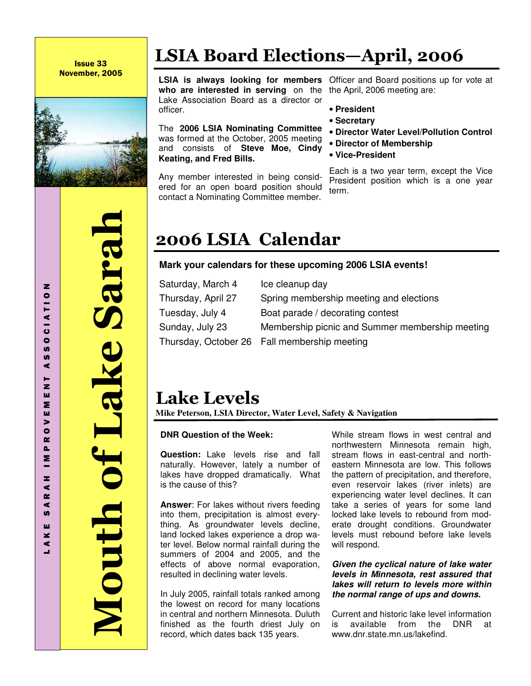Issue 33 November, 2005



 Mouth of Lake Sarah of Lake Saral huth

# LSIA Board Elections—April, 2006

**who are interested in serving** on the the April, 2006 meeting are: Lake Association Board as a director or officer.

The **2006 LSIA Nominating Committee** was formed at the October, 2005 meeting and consists of **Steve Moe, Cindy Keating, and Fred Bills.**

Any member interested in being considered for an open board position should contact a Nominating Committee member.

**LSIA is always looking for members**  Officer and Board positions up for vote at

- **President**
- **Secretary**
- **Director Water Level/Pollution Control**
- **Director of Membership**
- **Vice-President**

Each is a two year term, except the Vice President position which is a one year term.

# 2006 LSIA Calendar

### **Mark your calendars for these upcoming 2006 LSIA events!**

| Saturday, March 4  | Ice cleanup day                                 |
|--------------------|-------------------------------------------------|
| Thursday, April 27 | Spring membership meeting and elections         |
| Tuesday, July 4    | Boat parade / decorating contest                |
| Sunday, July 23    | Membership picnic and Summer membership meeting |
|                    | Thursday, October 26  Fall membership meeting   |
|                    |                                                 |

## Lake Levels

**Mike Peterson, LSIA Director, Water Level, Safety & Navigation**

### **DNR Question of the Week:**

**Question:** Lake levels rise and fall naturally. However, lately a number of lakes have dropped dramatically. What is the cause of this?

**Answer**: For lakes without rivers feeding into them, precipitation is almost everything. As groundwater levels decline, land locked lakes experience a drop water level. Below normal rainfall during the summers of 2004 and 2005, and the effects of above normal evaporation, resulted in declining water levels.

In July 2005, rainfall totals ranked among the lowest on record for many locations in central and northern Minnesota. Duluth finished as the fourth driest July on record, which dates back 135 years.

While stream flows in west central and northwestern Minnesota remain high, stream flows in east-central and northeastern Minnesota are low. This follows the pattern of precipitation, and therefore, even reservoir lakes (river inlets) are experiencing water level declines. It can take a series of years for some land locked lake levels to rebound from moderate drought conditions. Groundwater levels must rebound before lake levels will respond.

#### **Given the cyclical nature of lake water levels in Minnesota, rest assured that lakes will return to levels more within the normal range of ups and downs.**

Current and historic lake level information is available from the DNR at www.dnr.state.mn.us/lakefind.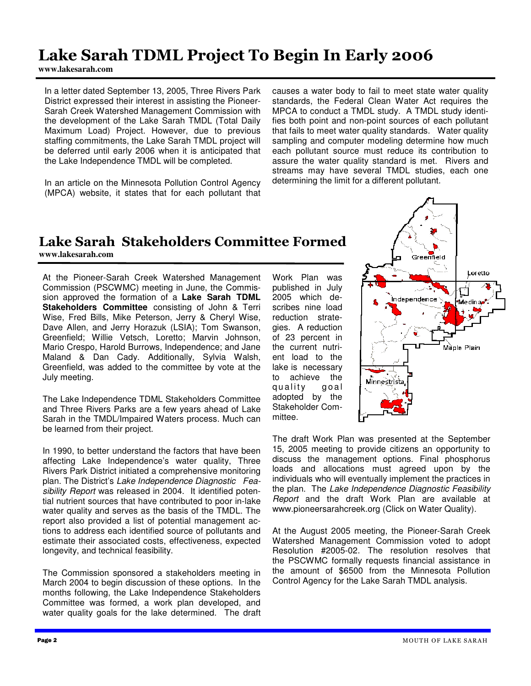### Lake Sarah TDML Project To Begin In Early 2006

**www.lakesarah.com** 

In a letter dated September 13, 2005, Three Rivers Park District expressed their interest in assisting the Pioneer-Sarah Creek Watershed Management Commission with the development of the Lake Sarah TMDL (Total Daily Maximum Load) Project. However, due to previous staffing commitments, the Lake Sarah TMDL project will be deferred until early 2006 when it is anticipated that the Lake Independence TMDL will be completed.

In an article on the Minnesota Pollution Control Agency (MPCA) website, it states that for each pollutant that

causes a water body to fail to meet state water quality standards, the Federal Clean Water Act requires the MPCA to conduct a TMDL study. A TMDL study identifies both point and non-point sources of each pollutant that fails to meet water quality standards. Water quality sampling and computer modeling determine how much each pollutant source must reduce its contribution to assure the water quality standard is met. Rivers and streams may have several TMDL studies, each one determining the limit for a different pollutant.

### Lake Sarah Stakeholders Committee Formed **www.lakesarah.com**

At the Pioneer-Sarah Creek Watershed Management Commission (PSCWMC) meeting in June, the Commission approved the formation of a **Lake Sarah TDML Stakeholders Committee** consisting of John & Terri Wise, Fred Bills, Mike Peterson, Jerry & Cheryl Wise, Dave Allen, and Jerry Horazuk (LSIA); Tom Swanson, Greenfield; Willie Vetsch, Loretto; Marvin Johnson, Mario Crespo, Harold Burrows, Independence; and Jane Maland & Dan Cady. Additionally, Sylvia Walsh, Greenfield, was added to the committee by vote at the July meeting.

The Lake Independence TDML Stakeholders Committee and Three Rivers Parks are a few years ahead of Lake Sarah in the TMDL/Impaired Waters process. Much can be learned from their project.

In 1990, to better understand the factors that have been affecting Lake Independence's water quality, Three Rivers Park District initiated a comprehensive monitoring plan. The District's Lake Independence Diagnostic Feasibility Report was released in 2004. It identified potential nutrient sources that have contributed to poor in-lake water quality and serves as the basis of the TMDL. The report also provided a list of potential management actions to address each identified source of pollutants and estimate their associated costs, effectiveness, expected longevity, and technical feasibility.

The Commission sponsored a stakeholders meeting in March 2004 to begin discussion of these options. In the months following, the Lake Independence Stakeholders Committee was formed, a work plan developed, and water quality goals for the lake determined. The draft

Work Plan was published in July 2005 which describes nine load reduction strategies. A reduction of 23 percent in the current nutrient load to the lake is necessary to achieve the quality goal adopted by the Stakeholder Committee.



The draft Work Plan was presented at the September 15, 2005 meeting to provide citizens an opportunity to discuss the management options. Final phosphorus loads and allocations must agreed upon by the individuals who will eventually implement the practices in the plan. The Lake Independence Diagnostic Feasibility Report and the draft Work Plan are available at www.pioneersarahcreek.org (Click on Water Quality).

At the August 2005 meeting, the Pioneer-Sarah Creek Watershed Management Commission voted to adopt Resolution #2005-02. The resolution resolves that the PSCWMC formally requests financial assistance in the amount of \$6500 from the Minnesota Pollution Control Agency for the Lake Sarah TMDL analysis.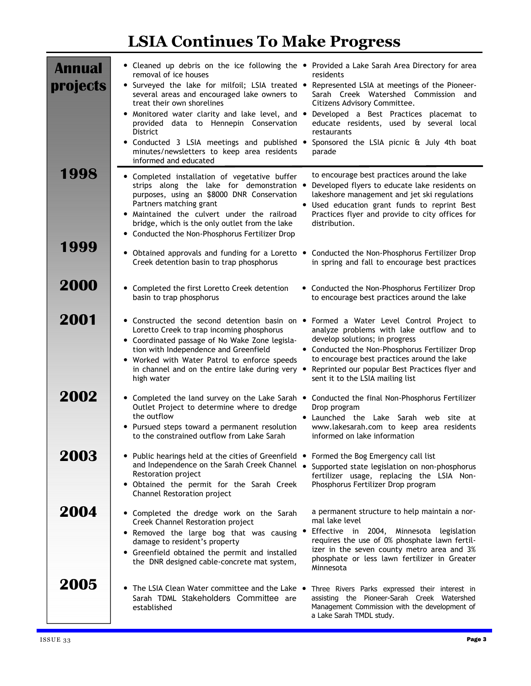# LSIA Continues To Make Progress

| <b>Annual</b><br>projects | • Cleaned up debris on the ice following the • Provided a Lake Sarah Area Directory for area<br>removal of ice houses<br>• Surveyed the lake for milfoil; LSIA treated •<br>several areas and encouraged lake owners to<br>treat their own shorelines<br>• Monitored water clarity and lake level, and • Developed a Best Practices placemat to<br>provided data to Hennepin Conservation<br><b>District</b><br>• Conducted 3 LSIA meetings and published • Sponsored the LSIA picnic & July 4th boat<br>minutes/newsletters to keep area residents<br>informed and educated | residents<br>Represented LSIA at meetings of the Pioneer-<br>Sarah Creek Watershed Commission and<br>Citizens Advisory Committee.<br>educate residents, used by several local<br>restaurants<br>parade                                                                                                        |
|---------------------------|------------------------------------------------------------------------------------------------------------------------------------------------------------------------------------------------------------------------------------------------------------------------------------------------------------------------------------------------------------------------------------------------------------------------------------------------------------------------------------------------------------------------------------------------------------------------------|---------------------------------------------------------------------------------------------------------------------------------------------------------------------------------------------------------------------------------------------------------------------------------------------------------------|
| 1998                      | • Completed installation of vegetative buffer<br>strips along the lake for demonstration .<br>purposes, using an \$8000 DNR Conservation<br>Partners matching grant<br>. Maintained the culvert under the railroad<br>bridge, which is the only outlet from the lake<br>• Conducted the Non-Phosphorus Fertilizer Drop                                                                                                                                                                                                                                                       | to encourage best practices around the lake<br>Developed flyers to educate lake residents on<br>lakeshore management and jet ski regulations<br>• Used education grant funds to reprint Best<br>Practices flyer and provide to city offices for<br>distribution.                                              |
| 1999                      | • Obtained approvals and funding for a Loretto .<br>Creek detention basin to trap phosphorus                                                                                                                                                                                                                                                                                                                                                                                                                                                                                 | Conducted the Non-Phosphorus Fertilizer Drop<br>in spring and fall to encourage best practices                                                                                                                                                                                                                |
| 2000                      | • Completed the first Loretto Creek detention<br>basin to trap phosphorus                                                                                                                                                                                                                                                                                                                                                                                                                                                                                                    | • Conducted the Non-Phosphorus Fertilizer Drop<br>to encourage best practices around the lake                                                                                                                                                                                                                 |
| 2001                      | • Constructed the second detention basin on •<br>Loretto Creek to trap incoming phosphorus<br>• Coordinated passage of No Wake Zone legisla-<br>tion with Independence and Greenfield<br>• Worked with Water Patrol to enforce speeds<br>in channel and on the entire lake during very •<br>high water                                                                                                                                                                                                                                                                       | Formed a Water Level Control Project to<br>analyze problems with lake outflow and to<br>develop solutions; in progress<br>• Conducted the Non-Phosphorus Fertilizer Drop<br>to encourage best practices around the lake<br>Reprinted our popular Best Practices flyer and<br>sent it to the LSIA mailing list |
| 2002                      | • Completed the land survey on the Lake Sarah •<br>Outlet Project to determine where to dredge<br>the outflow<br>• Pursued steps toward a permanent resolution<br>to the constrained outflow from Lake Sarah                                                                                                                                                                                                                                                                                                                                                                 | Conducted the final Non-Phosphorus Fertilizer<br>Drop program<br>• Launched the Lake Sarah web site<br>at<br>www.lakesarah.com to keep area residents<br>informed on lake information                                                                                                                         |
| 2003                      | • Public hearings held at the cities of Greenfield •<br>and Independence on the Sarah Creek Channel .<br>Restoration project<br>• Obtained the permit for the Sarah Creek<br>Channel Restoration project                                                                                                                                                                                                                                                                                                                                                                     | Formed the Bog Emergency call list<br>Supported state legislation on non-phosphorus<br>fertilizer usage, replacing the LSIA Non-<br>Phosphorus Fertilizer Drop program                                                                                                                                        |
| 2004                      | • Completed the dredge work on the Sarah<br>Creek Channel Restoration project<br>• Removed the large bog that was causing •<br>damage to resident's property<br>• Greenfield obtained the permit and installed<br>the DNR designed cable-concrete mat system,                                                                                                                                                                                                                                                                                                                | a permanent structure to help maintain a nor-<br>mal lake level<br>Effective in 2004, Minnesota legislation<br>requires the use of 0% phosphate lawn fertil-<br>izer in the seven county metro area and 3%<br>phosphate or less lawn fertilizer in Greater<br>Minnesota                                       |
| 2005                      | • The LSIA Clean Water committee and the Lake •<br>Sarah TDML Stakeholders Committee are<br>established                                                                                                                                                                                                                                                                                                                                                                                                                                                                      | Three Rivers Parks expressed their interest in<br>assisting the Pioneer-Sarah Creek Watershed<br>Management Commission with the development of<br>a Lake Sarah TMDL study.                                                                                                                                    |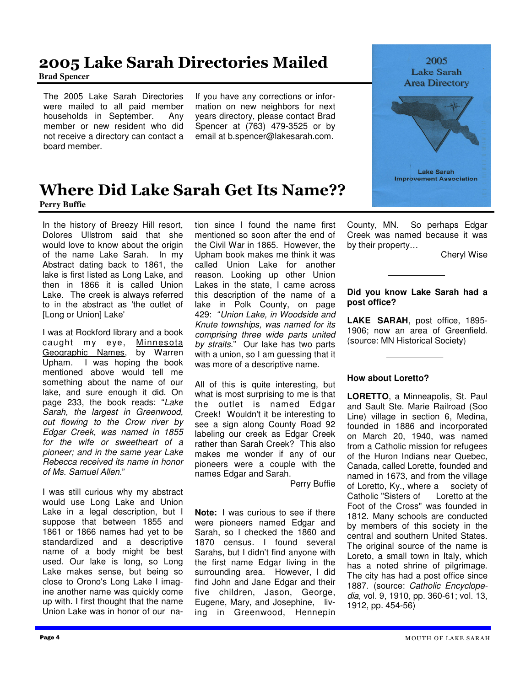### 2005 Lake Sarah Directories Mailed **Brad Spencer**

The 2005 Lake Sarah Directories were mailed to all paid member households in September. Any member or new resident who did not receive a directory can contact a board member.

If you have any corrections or information on new neighbors for next years directory, please contact Brad Spencer at (763) 479-3525 or by email at b.spencer@lakesarah.com.





### Where Did Lake Sarah Get Its Name?? **Perry Buffie**

In the history of Breezy Hill resort, Dolores Ullstrom said that she would love to know about the origin of the name Lake Sarah. In my Abstract dating back to 1861, the lake is first listed as Long Lake, and then in 1866 it is called Union Lake. The creek is always referred to in the abstract as 'the outlet of [Long or Union] Lake'

I was at Rockford library and a book caught my eye, Minnesota Geographic Names, by Warren Upham. I was hoping the book mentioned above would tell me something about the name of our lake, and sure enough it did. On page 233, the book reads: "Lake Sarah, the largest in Greenwood, out flowing to the Crow river by Edgar Creek, was named in 1855 for the wife or sweetheart of a pioneer; and in the same year Lake Rebecca received its name in honor of Ms. Samuel Allen."

ine another name was quickly come I was still curious why my abstract would use Long Lake and Union Lake in a legal description, but I suppose that between 1855 and 1861 or 1866 names had yet to be standardized and a descriptive name of a body might be best used. Our lake is long, so Long Lake makes sense, but being so close to Orono's Long Lake I imagup with. I first thought that the name Union Lake was in honor of our nation since I found the name first mentioned so soon after the end of the Civil War in 1865. However, the Upham book makes me think it was called Union Lake for another reason. Looking up other Union Lakes in the state, I came across this description of the name of a lake in Polk County, on page 429: "Union Lake, in Woodside and Knute townships, was named for its comprising three wide parts united by straits." Our lake has two parts with a union, so I am guessing that it was more of a descriptive name.

All of this is quite interesting, but what is most surprising to me is that the outlet is named Edgar Creek! Wouldn't it be interesting to see a sign along County Road 92 labeling our creek as Edgar Creek rather than Sarah Creek? This also makes me wonder if any of our pioneers were a couple with the names Edgar and Sarah.

Perry Buffie

**Note:** I was curious to see if there were pioneers named Edgar and Sarah, so I checked the 1860 and 1870 census. I found several Sarahs, but I didn't find anyone with the first name Edgar living in the surrounding area. However, I did find John and Jane Edgar and their five children, Jason, George, Eugene, Mary, and Josephine, living in Greenwood, Hennepin County, MN. So perhaps Edgar Creek was named because it was by their property…

Cheryl Wise

### **Did you know Lake Sarah had a post office?**

**LAKE SARAH**, post office, 1895- 1906; now an area of Greenfield. (source: MN Historical Society)

### **How about Loretto?**

**LORETTO**, a Minneapolis, St. Paul and Sault Ste. Marie Railroad (Soo Line) village in section 6, Medina, founded in 1886 and incorporated on March 20, 1940, was named from a Catholic mission for refugees of the Huron Indians near Quebec, Canada, called Lorette, founded and named in 1673, and from the village of Loretto, Ky., where a society of Catholic "Sisters of Loretto at the Foot of the Cross" was founded in 1812. Many schools are conducted by members of this society in the central and southern United States. The original source of the name is Loreto, a small town in Italy, which has a noted shrine of pilgrimage. The city has had a post office since 1887. (source: Catholic Encyclopedia, vol. 9, 1910, pp. 360-61; vol. 13, 1912, pp. 454-56)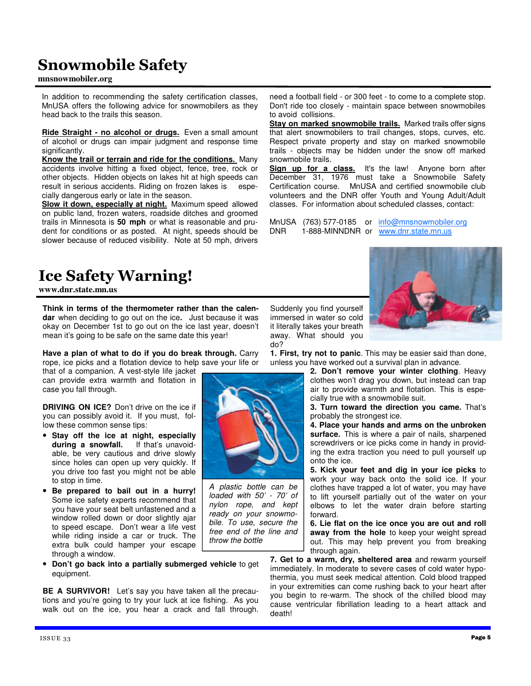## Snowmobile Safety

#### **mnsnowmobiler.org**

In addition to recommending the safety certification classes, MnUSA offers the following advice for snowmobilers as they head back to the trails this season.

**Ride Straight - no alcohol or drugs.** Even a small amount of alcohol or drugs can impair judgment and response time significantly.

**Know the trail or terrain and ride for the conditions.** Many accidents involve hitting a fixed object, fence, tree, rock or other objects. Hidden objects on lakes hit at high speeds can result in serious accidents. Riding on frozen lakes is especially dangerous early or late in the season.

**Slow it down, especially at night.** Maximum speed allowed on public land, frozen waters, roadside ditches and groomed trails in Minnesota is **50 mph** or what is reasonable and prudent for conditions or as posted. At night, speeds should be slower because of reduced visibility. Note at 50 mph, drivers

### Ice Safety Warning!

**www.dnr.state.mn.us** 

**Think in terms of the thermometer rather than the calendar** when deciding to go out on the ice**.** Just because it was okay on December 1st to go out on the ice last year, doesn't mean it's going to be safe on the same date this year!

**Have a plan of what to do if you do break through.** Carry rope, ice picks and a flotation device to help save your life or

that of a companion. A vest-style life jacket can provide extra warmth and flotation in case you fall through.

**DRIVING ON ICE?** Don't drive on the ice if you can possibly avoid it. If you must, follow these common sense tips:

• **Stay off the ice at night, especially**  during a snowfall. able, be very cautious and drive slowly since holes can open up very quickly. If you drive too fast you might not be able to stop in time.

• **Be prepared to bail out in a hurry!**  Some ice safety experts recommend that you have your seat belt unfastened and a window rolled down or door slightly ajar to speed escape. Don't wear a life vest while riding inside a car or truck. The extra bulk could hamper your escape through a window.

• **Don't go back into a partially submerged vehicle** to get equipment.

**BE A SURVIVOR!** Let's say you have taken all the precautions and you're going to try your luck at ice fishing. As you walk out on the ice, you hear a crack and fall through.

do?

Suddenly you find yourself immersed in water so cold it literally takes your breath away. What should you

A plastic bottle can be loaded with 50' - 70' of nylon rope, and kept ready on your snowmobile. To use, secure the free end of the line and throw the bottle

need a football field - or 300 feet - to come to a complete stop. Don't ride too closely - maintain space between snowmobiles to avoid collisions.

**Stay on marked snowmobile trails.** Marked trails offer signs that alert snowmobilers to trail changes, stops, curves, etc. Respect private property and stay on marked snowmobile trails - objects may be hidden under the snow off marked snowmobile trails.

**Sign up for a class.** It's the law! Anyone born after December 31, 1976 must take a Snowmobile Safety Certification course. MnUSA and certified snowmobile club volunteers and the DNR offer Youth and Young Adult/Adult classes. For information about scheduled classes, contact:

MnUSA (763) 577-0185 or info@mnsnowmobiler.org DNR 1-888-MINNDNR or www.dnr.state.mn.us



**1. First, try not to panic**. This may be easier said than done, unless you have worked out a survival plan in advance.

**2. Don't remove your winter clothing**. Heavy clothes won't drag you down, but instead can trap air to provide warmth and flotation. This is especially true with a snowmobile suit.

**3. Turn toward the direction you came.** That's probably the strongest ice.

**4. Place your hands and arms on the unbroken surface.** This is where a pair of nails, sharpened screwdrivers or ice picks come in handy in providing the extra traction you need to pull yourself up onto the ice.

**5. Kick your feet and dig in your ice picks** to work your way back onto the solid ice. If your clothes have trapped a lot of water, you may have to lift yourself partially out of the water on your elbows to let the water drain before starting forward.

**6. Lie flat on the ice once you are out and roll away from the hole** to keep your weight spread out. This may help prevent you from breaking through again.

**7. Get to a warm, dry, sheltered area** and rewarm yourself immediately. In moderate to severe cases of cold water hypothermia, you must seek medical attention. Cold blood trapped in your extremities can come rushing back to your heart after you begin to re-warm. The shock of the chilled blood may cause ventricular fibrillation leading to a heart attack and death!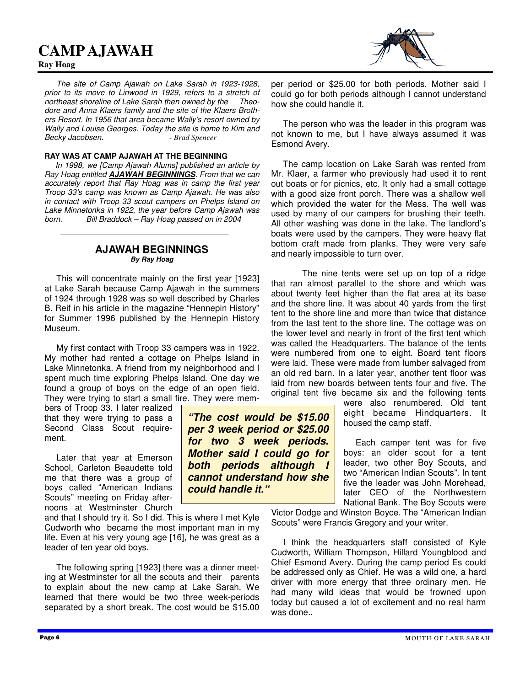### **CAMP AJAWAH**

#### **Ray Hoag**



#### **RAY WAS AT CAMP AJAWAH AT THE BEGINNING**

 In 1998, we [Camp Ajawah Alums] published an article by Ray Hoag entitled **AJAWAH BEGINNINGS**. From that we can accurately report that Ray Hoag was in camp the first year Troop 33's camp was known as Camp Ajawah. He was also in contact with Troop 33 scout campers on Phelps Island on Lake Minnetonka in 1922, the year before Camp Ajawah was born. Bill Braddock – Ray Hoag passed on in 2004

### **AJAWAH BEGINNINGS By Ray Hoag**

 This will concentrate mainly on the first year [1923] at Lake Sarah because Camp Ajawah in the summers of 1924 through 1928 was so well described by Charles B. Reif in his article in the magazine "Hennepin History" for Summer 1996 published by the Hennepin History Museum.

 My first contact with Troop 33 campers was in 1922. My mother had rented a cottage on Phelps Island in Lake Minnetonka. A friend from my neighborhood and I spent much time exploring Phelps Island. One day we found a group of boys on the edge of an open field. They were trying to start a small fire. They were mem-

bers of Troop 33. I later realized that they were trying to pass a Second Class Scout requirement.

 Later that year at Emerson School, Carleton Beaudette told me that there was a group of boys called "American Indians Scouts" meeting on Friday afternoons at Westminster Church

and that I should try it. So I did. This is where I met Kyle Cudworth who became the most important man in my life. Even at his very young age [16], he was great as a leader of ten year old boys.

 The following spring [1923] there was a dinner meeting at Westminster for all the scouts and their parents to explain about the new camp at Lake Sarah. We learned that there would be two three week-periods separated by a short break. The cost would be \$15.00 per period or \$25.00 for both periods. Mother said I could go for both periods although I cannot understand how she could handle it.

 The person who was the leader in this program was not known to me, but I have always assumed it was Esmond Avery.

 The camp location on Lake Sarah was rented from Mr. Klaer, a farmer who previously had used it to rent out boats or for picnics, etc. It only had a small cottage with a good size front porch. There was a shallow well which provided the water for the Mess. The well was used by many of our campers for brushing their teeth. All other washing was done in the lake. The landlord's boats were used by the campers. They were heavy flat bottom craft made from planks. They were very safe and nearly impossible to turn over.

 The nine tents were set up on top of a ridge that ran almost parallel to the shore and which was about twenty feet higher than the flat area at its base and the shore line. It was about 40 yards from the first tent to the shore line and more than twice that distance from the last tent to the shore line. The cottage was on the lower level and nearly in front of the first tent which was called the Headquarters. The balance of the tents were numbered from one to eight. Board tent floors were laid. These were made from lumber salvaged from an old red barn. In a later year, another tent floor was laid from new boards between tents four and five. The original tent five became six and the following tents

were also renumbered. Old tent eight became Hindquarters. It housed the camp staff.

 Each camper tent was for five boys: an older scout for a tent leader, two other Boy Scouts, and two "American Indian Scouts". In tent five the leader was John Morehead, later CEO of the Northwestern National Bank. The Boy Scouts were

Victor Dodge and Winston Boyce. The "American Indian Scouts" were Francis Gregory and your writer.

 I think the headquarters staff consisted of Kyle Cudworth, William Thompson, Hillard Youngblood and Chief Esmond Avery. During the camp period Es could be addressed only as Chief. He was a wild one, a hard driver with more energy that three ordinary men. He had many wild ideas that would be frowned upon today but caused a lot of excitement and no real harm was done..

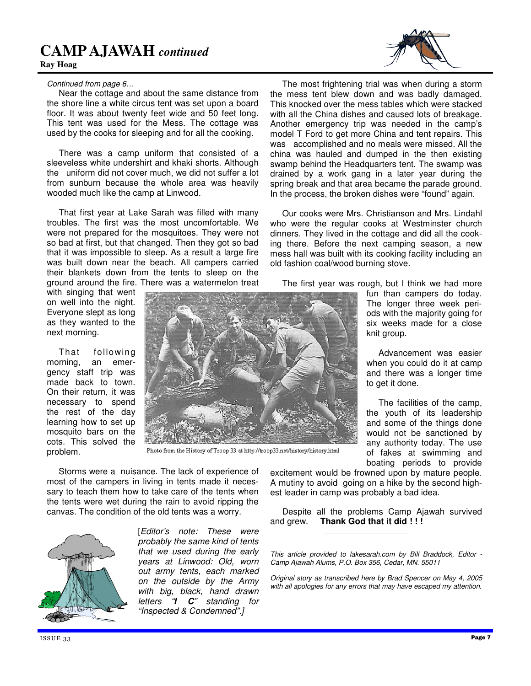### **CAMP AJAWAH** *continued*



#### Continued from page 6…

 Near the cottage and about the same distance from the shore line a white circus tent was set upon a board floor. It was about twenty feet wide and 50 feet long. This tent was used for the Mess. The cottage was used by the cooks for sleeping and for all the cooking.

 There was a camp uniform that consisted of a sleeveless white undershirt and khaki shorts. Although the uniform did not cover much, we did not suffer a lot from sunburn because the whole area was heavily wooded much like the camp at Linwood.

 That first year at Lake Sarah was filled with many troubles. The first was the most uncomfortable. We were not prepared for the mosquitoes. They were not so bad at first, but that changed. Then they got so bad that it was impossible to sleep. As a result a large fire was built down near the beach. All campers carried their blankets down from the tents to sleep on the ground around the fire. There was a watermelon treat

with singing that went on well into the night. Everyone slept as long as they wanted to the next morning.

 That following morning, an emergency staff trip was made back to town. On their return, it was necessary to spend the rest of the day learning how to set up mosquito bars on the cots. This solved the problem.



Photo from the History of Troop 33 at http://troop33.net/history/history.html

 Storms were a nuisance. The lack of experience of most of the campers in living in tents made it necessary to teach them how to take care of the tents when the tents were wet during the rain to avoid ripping the canvas. The condition of the old tents was a worry.



[Editor's note: These were probably the same kind of tents that we used during the early years at Linwood: Old, worn out army tents, each marked on the outside by the Army with big, black, hand drawn letters "**I C**" standing for "Inspected & Condemned".]



 The most frightening trial was when during a storm the mess tent blew down and was badly damaged. This knocked over the mess tables which were stacked with all the China dishes and caused lots of breakage. Another emergency trip was needed in the camp's model T Ford to get more China and tent repairs. This was accomplished and no meals were missed. All the china was hauled and dumped in the then existing swamp behind the Headquarters tent. The swamp was drained by a work gang in a later year during the spring break and that area became the parade ground. In the process, the broken dishes were "found" again.

 Our cooks were Mrs. Christianson and Mrs. Lindahl who were the regular cooks at Westminster church dinners. They lived in the cottage and did all the cooking there. Before the next camping season, a new mess hall was built with its cooking facility including an old fashion coal/wood burning stove.

The first year was rough, but I think we had more

fun than campers do today. The longer three week periods with the majority going for six weeks made for a close knit group.

 Advancement was easier when you could do it at camp and there was a longer time to get it done.

 The facilities of the camp, the youth of its leadership and some of the things done would not be sanctioned by any authority today. The use of fakes at swimming and boating periods to provide

excitement would be frowned upon by mature people. A mutiny to avoid going on a hike by the second highest leader in camp was probably a bad idea.

 Despite all the problems Camp Ajawah survived and grew. **Thank God that it did ! ! !** 

This article provided to lakesarah.com by Bill Braddock, Editor - Camp Ajawah Alums, P.O. Box 356, Cedar, MN. 55011

Original story as transcribed here by Brad Spencer on May 4, 2005 with all apologies for any errors that may have escaped my attention.